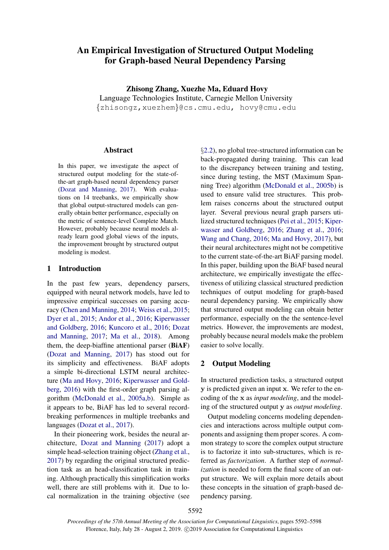# An Empirical Investigation of Structured Output Modeling for Graph-based Neural Dependency Parsing

Zhisong Zhang, Xuezhe Ma, Eduard Hovy Language Technologies Institute, Carnegie Mellon University *{*zhisongz,xuezhem*}*@cs.cmu.edu, hovy@cmu.edu

#### Abstract

In this paper, we investigate the aspect of structured output modeling for the state-ofthe-art graph-based neural dependency parser [\(Dozat and Manning,](#page-4-0) [2017\)](#page-4-0). With evaluations on 14 treebanks, we empirically show that global output-structured models can generally obtain better performance, especially on the metric of sentence-level Complete Match. However, probably because neural models already learn good global views of the inputs, the improvement brought by structured output modeling is modest.

## 1 Introduction

In the past few years, dependency parsers, equipped with neural network models, have led to impressive empirical successes on parsing accuracy [\(Chen and Manning,](#page-4-1) [2014;](#page-4-1) [Weiss et al.,](#page-6-0) [2015;](#page-6-0) [Dyer et al.,](#page-5-0) [2015;](#page-5-0) [Andor et al.,](#page-4-2) [2016;](#page-4-2) [Kiperwasser](#page-5-1) [and Goldberg,](#page-5-1) [2016;](#page-5-1) [Kuncoro et al.,](#page-5-2) [2016;](#page-5-2) [Dozat](#page-4-0) [and Manning,](#page-4-0) [2017;](#page-4-0) [Ma et al.,](#page-5-3) [2018\)](#page-5-3). Among them, the deep-biaffine attentional parser (BiAF) [\(Dozat and Manning,](#page-4-0) [2017\)](#page-4-0) has stood out for its simplicity and effectiveness. BiAF adopts a simple bi-directional LSTM neural architecture [\(Ma and Hovy,](#page-5-4) [2016;](#page-5-4) [Kiperwasser and Gold](#page-5-1)[berg,](#page-5-1) [2016\)](#page-5-1) with the first-order graph parsing algorithm [\(McDonald et al.,](#page-5-5) [2005a,](#page-5-5)[b\)](#page-5-6). Simple as it appears to be, BiAF has led to several recordbreaking performences in multiple treebanks and languages [\(Dozat et al.,](#page-4-3) [2017\)](#page-4-3).

In their pioneering work, besides the neural architecture, [Dozat and Manning](#page-4-0) [\(2017\)](#page-4-0) adopt a simple head-selection training object [\(Zhang et al.,](#page-6-1) [2017\)](#page-6-1) by regarding the original structured prediction task as an head-classification task in training. Although practically this simplification works well, there are still problems with it. Due to local normalization in the training objective (see *§*[2.2\)](#page-1-0), no global tree-structured information can be back-propagated during training. This can lead to the discrepancy between training and testing, since during testing, the MST (Maximum Spanning Tree) algorithm [\(McDonald et al.,](#page-5-6) [2005b\)](#page-5-6) is used to ensure valid tree structures. This problem raises concerns about the structured output layer. Several previous neural graph parsers utilized structured techniques [\(Pei et al.,](#page-6-2) [2015;](#page-6-2) [Kiper](#page-5-1)[wasser and Goldberg,](#page-5-1) [2016;](#page-5-1) [Zhang et al.,](#page-6-3) [2016;](#page-6-3) [Wang and Chang,](#page-6-4) [2016;](#page-6-4) [Ma and Hovy,](#page-5-7) [2017\)](#page-5-7), but their neural architectures might not be competitive to the current state-of-the-art BiAF parsing model. In this paper, building upon the BiAF based neural architecture, we empirically investigate the effectiveness of utilizing classical structured prediction techniques of output modeling for graph-based neural dependency parsing. We empirically show that structured output modeling can obtain better performance, especially on the the sentence-level metrics. However, the improvements are modest, probably because neural models make the problem easier to solve locally.

# 2 Output Modeling

In structured prediction tasks, a structured output y is predicted given an input x. We refer to the encoding of the x as *input modeling*, and the modeling of the structured output y as *output modeling*.

Output modeling concerns modeling dependencies and interactions across multiple output components and assigning them proper scores. A common strategy to score the complex output structure is to factorize it into sub-structures, which is referred as *factorization*. A further step of *normalization* is needed to form the final score of an output structure. We will explain more details about these concepts in the situation of graph-based dependency parsing.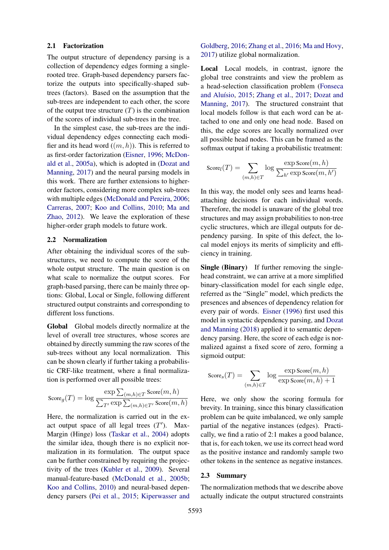### 2.1 Factorization

The output structure of dependency parsing is a collection of dependency edges forming a singlerooted tree. Graph-based dependency parsers factorize the outputs into specifically-shaped subtrees (factors). Based on the assumption that the sub-trees are independent to each other, the score of the output tree structure  $(T)$  is the combination of the scores of individual sub-trees in the tree.

In the simplest case, the sub-trees are the individual dependency edges connecting each modifier and its head word ((*m, h*)). This is referred to as first-order factorization [\(Eisner,](#page-5-8) [1996;](#page-5-8) [McDon](#page-5-5)[ald et al.,](#page-5-5) [2005a\)](#page-5-5), which is adopted in [\(Dozat and](#page-4-0) [Manning,](#page-4-0) [2017\)](#page-4-0) and the neural parsing models in this work. There are further extensions to higherorder factors, considering more complex sub-trees with multiple edges [\(McDonald and Pereira,](#page-5-9) [2006;](#page-5-9) [Carreras,](#page-4-4) [2007;](#page-4-4) [Koo and Collins,](#page-5-10) [2010;](#page-5-10) [Ma and](#page-5-11) [Zhao,](#page-5-11) [2012\)](#page-5-11). We leave the exploration of these higher-order graph models to future work.

## <span id="page-1-0"></span>2.2 Normalization

After obtaining the individual scores of the substructures, we need to compute the score of the whole output structure. The main question is on what scale to normalize the output scores. For graph-based parsing, there can be mainly three options: Global, Local or Single, following different structured output constraints and corresponding to different loss functions.

Global Global models directly normalize at the level of overall tree structures, whose scores are obtained by directly summing the raw scores of the sub-trees without any local normalization. This can be shown clearly if further taking a probabilistic CRF-like treatment, where a final normalization is performed over all possible trees:

$$
\text{Score}_{g}(T) = \log \frac{\exp \sum_{(m,h) \in T} \text{Score}(m,h)}{\sum_{T'} \exp \sum_{(m,h) \in T'} \text{Score}(m,h)}
$$

Here, the normalization is carried out in the exact output space of all legal trees  $(T')$ . Max-Margin (Hinge) loss [\(Taskar et al.,](#page-6-5) [2004\)](#page-6-5) adopts the similar idea, though there is no explicit normalization in its formulation. The output space can be further constrained by requiring the projectivity of the trees [\(Kubler et al.,](#page-5-12) [2009\)](#page-5-12). Several manual-feature-based [\(McDonald et al.,](#page-5-6) [2005b;](#page-5-6) [Koo and Collins,](#page-5-10) [2010\)](#page-5-10) and neural-based dependency parsers [\(Pei et al.,](#page-6-2) [2015;](#page-6-2) [Kiperwasser and](#page-5-1)

[Goldberg,](#page-5-1) [2016;](#page-5-1) [Zhang et al.,](#page-6-3) [2016;](#page-6-3) [Ma and Hovy,](#page-5-7) [2017\)](#page-5-7) utilize global normalization.

Local Local models, in contrast, ignore the global tree constraints and view the problem as a head-selection classification problem [\(Fonseca](#page-5-13) and Aluísio, [2015;](#page-5-13) [Zhang et al.,](#page-6-1) [2017;](#page-6-1) [Dozat and](#page-4-0) [Manning,](#page-4-0) [2017\)](#page-4-0). The structured constraint that local models follow is that each word can be attached to one and only one head node. Based on this, the edge scores are locally normalized over all possible head nodes. This can be framed as the softmax output if taking a probabilistic treatment:

$$
Score_l(T) = \sum_{(m,h)\in T} \log \frac{\exp Score(m,h)}{\sum_{h'} \exp Score(m,h')}
$$

In this way, the model only sees and learns headattaching decisions for each individual words. Therefore, the model is unaware of the global tree structures and may assign probabilities to non-tree cyclic structures, which are illegal outputs for dependency parsing. In spite of this defect, the local model enjoys its merits of simplicity and efficiency in training.

Single (Binary) If further removing the singlehead constraint, we can arrive at a more simplified binary-classification model for each single edge, referred as the "Single" model, which predicts the presences and absences of dependency relation for every pair of words. [Eisner](#page-5-8) [\(1996\)](#page-5-8) first used this model in syntactic dependency parsing, and [Dozat](#page-4-5) [and Manning](#page-4-5) [\(2018\)](#page-4-5) applied it to semantic dependency parsing. Here, the score of each edge is normalized against a fixed score of zero, forming a sigmoid output:

$$
Score_s(T) = \sum_{(m,h)\in T} \log \frac{\exp Score(m,h)}{\exp Score(m,h) + 1}
$$

Here, we only show the scoring formula for brevity. In training, since this binary classification problem can be quite imbalanced, we only sample partial of the negative instances (edges). Practically, we find a ratio of 2:1 makes a good balance, that is, for each token, we use its correct head word as the positive instance and randomly sample two other tokens in the sentence as negative instances.

#### 2.3 Summary

The normalization methods that we describe above actually indicate the output structured constraints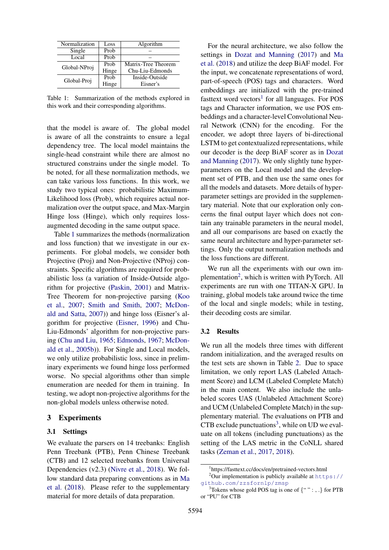<span id="page-2-0"></span>

| Normalization | Loss  | Algorithm           |  |
|---------------|-------|---------------------|--|
| Single        | Prob  |                     |  |
| Local         | Prob  |                     |  |
| Global-NProj  | Prob  | Matrix-Tree Theorem |  |
|               | Hinge | Chu-Liu-Edmonds     |  |
| Global-Proj   | Prob  | Inside-Outside      |  |
|               | Hinge | Eisner's            |  |

Table 1: Summarization of the methods explored in this work and their corresponding algorithms.

that the model is aware of. The global model is aware of all the constraints to ensure a legal dependency tree. The local model maintains the single-head constraint while there are almost no structured constrains under the single model. To be noted, for all these normalization methods, we can take various loss functions. In this work, we study two typical ones: probabilistic Maximum-Likelihood loss (Prob), which requires actual normalization over the output space, and Max-Margin Hinge loss (Hinge), which only requires lossaugmented decoding in the same output space.

Table [1](#page-2-0) summarizes the methods (normalization and loss function) that we investigate in our experiments. For global models, we consider both Projective (Proj) and Non-Projective (NProj) constraints. Specific algorithms are required for probabilistic loss (a variation of Inside-Outside algorithm for projective [\(Paskin,](#page-5-14) [2001\)](#page-5-14) and Matrix-Tree Theorem for non-projective parsing [\(Koo](#page-5-15) [et al.,](#page-5-15) [2007;](#page-5-15) [Smith and Smith,](#page-6-6) [2007;](#page-6-6) [McDon](#page-5-16)[ald and Satta,](#page-5-16) [2007\)](#page-5-16)) and hinge loss (Eisner's algorithm for projective [\(Eisner,](#page-5-8) [1996\)](#page-5-8) and Chu-Liu-Edmonds' algorithm for non-projective parsing [\(Chu and Liu,](#page-4-6) [1965;](#page-4-6) [Edmonds,](#page-5-17) [1967;](#page-5-17) [McDon](#page-5-6)[ald et al.,](#page-5-6) [2005b\)](#page-5-6)). For Single and Local models, we only utilize probabilistic loss, since in preliminary experiments we found hinge loss performed worse. No special algorithms other than simple enumeration are needed for them in training. In testing, we adopt non-projective algorithms for the non-global models unless otherwise noted.

## 3 Experiments

#### 3.1 Settings

We evaluate the parsers on 14 treebanks: English Penn Treebank (PTB), Penn Chinese Treebank (CTB) and 12 selected treebanks from Universal Dependencies (v2.3) [\(Nivre et al.,](#page-5-18) [2018\)](#page-5-18). We follow standard data preparing conventions as in [Ma](#page-5-3) [et al.](#page-5-3) [\(2018\)](#page-5-3). Please refer to the supplementary material for more details of data preparation.

For the neural architecture, we also follow the settings in [Dozat and Manning](#page-4-0) [\(2017\)](#page-4-0) and [Ma](#page-5-3) [et al.](#page-5-3) [\(2018\)](#page-5-3) and utilize the deep BiAF model. For the input, we concatenate representations of word, part-of-speech (POS) tags and characters. Word embeddings are initialized with the pre-trained fasttext word vectors<sup>1</sup> for all languages. For POS tags and Character information, we use POS embeddings and a character-level Convolutional Neural Network (CNN) for the encoding. For the encoder, we adopt three layers of bi-directional LSTM to get contextualized representations, while our decoder is the deep BiAF scorer as in [Dozat](#page-4-0) [and Manning](#page-4-0) [\(2017\)](#page-4-0). We only slightly tune hyperparameters on the Local model and the development set of PTB, and then use the same ones for all the models and datasets. More details of hyperparameter settings are provided in the supplementary material. Note that our exploration only concerns the final output layer which does not contain any trainable parameters in the neural model, and all our comparisons are based on exactly the same neural architecture and hyper-parameter settings. Only the output normalization methods and the loss functions are different.

We run all the experiments with our own implementation<sup>2</sup>, which is written with PyTorch. All experiments are run with one TITAN-X GPU. In training, global models take around twice the time of the local and single models; while in testing, their decoding costs are similar.

#### 3.2 Results

We run all the models three times with different random initialization, and the averaged results on the test sets are shown in Table [2.](#page-3-0) Due to space limitation, we only report LAS (Labeled Attachment Score) and LCM (Labeled Complete Match) in the main content. We also include the unlabeled scores UAS (Unlabeled Attachment Score) and UCM (Unlabeled Complete Match) in the supplementary material. The evaluations on PTB and  $CTB$  exclude punctuations<sup>3</sup>, while on UD we evaluate on all tokens (including punctuations) as the setting of the LAS metric in the CoNLL shared tasks [\(Zeman et al.,](#page-6-7) [2017,](#page-6-7) [2018\)](#page-6-8).

<span id="page-2-2"></span><span id="page-2-1"></span><sup>1</sup> https://fasttext.cc/docs/en/pretrained-vectors.html

 $2$ Our implementation is publicly available at [https://](https://github.com/zzsfornlp/zmsp) [github.com/zzsfornlp/zmsp](https://github.com/zzsfornlp/zmsp)

<span id="page-2-3"></span><sup>3</sup> Tokens whose gold POS tag is one of *{*"":,.*}* for PTB or "PU" for CTB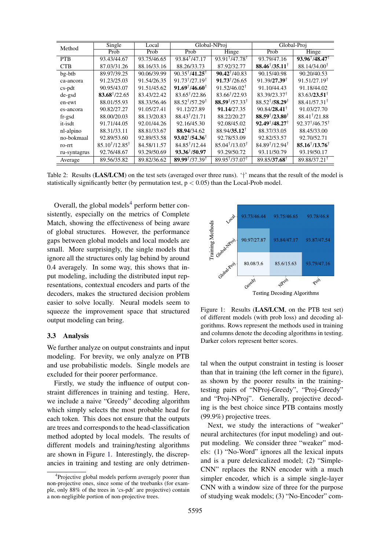<span id="page-3-0"></span>

| Method       | Single                  | Local       | Global-NProj                             |                                          | Global-Proj                       |                                   |
|--------------|-------------------------|-------------|------------------------------------------|------------------------------------------|-----------------------------------|-----------------------------------|
|              | Prob                    | Prob        | Prob                                     | Hinge                                    | Prob                              | Hinge                             |
| <b>PTB</b>   | 93.43/44.67             | 93.75/46.65 | $\overline{93.84}$ <sup>†</sup> /47.17   | $93.91^{\dagger}$ /47.78 <sup>†</sup>    | 93.79/47.16                       | $93.96^{\dagger}/48.47^{\dagger}$ |
| <b>CTB</b>   | 87.03/31.26             | 88.16/33.16 | 88.26/33.73                              | 87.92/32.77                              | $88.46^{\dagger}/35.11^{\dagger}$ | $88.14/34.00^{\dagger}$           |
| bg-btb       | 89.97/39.25             | 90.06/39.99 | $90.35^{\dagger}/41.25^{\dagger}$        | $90.42^{\dagger}/40.83$                  | 90.15/40.98                       | 90.20/40.53                       |
| ca-ancora    | 91.23/25.03             | 91.54/26.35 | $91.73$ <sup>†</sup> /27.19 <sup>†</sup> | $91.73$ <sup>†</sup> /26.65              | $91.39/27.39^{\dagger}$           | $91.51/27.19^{\dagger}$           |
| $cs$ -pdt    | 90.95/43.07             | 91.51/45.62 | $91.69^{\dagger}/46.60^{\dagger}$        | $91.52/46.02^{\dagger}$                  | 91.10/44.43                       | 91.18/44.02                       |
| de-gsd       | $83.68^{\dagger}/22.65$ | 83.43/22.42 | $83.65^{\dagger}/22.86$                  | $83.66^{\dagger}/22.93$                  | $83.39/23.37^{\dagger}$           | $83.63/23.51^{\dagger}$           |
| en-ewt       | 88.01/55.93             | 88.33/56.46 | $88.52^{\dagger}$ /57.29 <sup>†</sup>    | $88.59$ <sup>†</sup> /57.33 <sup>†</sup> | $88.52^{\dagger}/58.29^{\dagger}$ | $88.41/57.31^{\dagger}$           |
| es-ancora    | 90.82/27.27             | 91.05/27.41 | 91.12/27.89                              | 91.14/27.35                              | $90.84/28.41^{\dagger}$           | 91.03/27.70                       |
| $fr-gsd$     | 88.00/20.03             | 88.13/20.83 | $88.43^{\dagger}/21.71$                  | 88.22/20.27                              | $88.59^{\dagger}/23.80^{\dagger}$ | 88.41 <sup>†</sup> / 21.88        |
| it-isdt      | 91.71/44.05             | 92.01/44.26 | 92.16/45.30                              | 92.08/45.02                              | $92.49^{\dagger}/48.27^{\dagger}$ | $92.37^{\dagger}/46.75^{\dagger}$ |
| nl-alpino    | 88.31/33.11             | 88.81/33.67 | 88.94/34.62                              | $88.94/35.12^{\dagger}$                  | 88.37/33.05                       | 88.45/33.00                       |
| no-bokmaal   | 92.89/53.60             | 92.89/53.58 | $93.02^{\dagger}/54.36^{\dagger}$        | 92.78/53.09                              | 92.82/53.57                       | 92.70/52.71                       |
| ro-rrt       | $85.10^{†}/12.85^{†}$   | 84.58/11.57 | $84.85^{\dagger}/12.44$                  | $85.04^{\dagger}/13.03^{\dagger}$        | $84.89^{\dagger}/12.94^{\dagger}$ | $85.16^{\dagger}/13.76^{\dagger}$ |
| ru-syntagrus | 92.76/48.67             | 93.29/50.69 | $93.36^{\dagger}/50.97$                  | 93.29/50.72                              | 93.11/50.79                       | 93.19/50.17                       |
| Average      | 89.56/35.82             | 89.82/36.62 | $89.99^{\dagger}/37.39^{\dagger}$        | $89.95$ <sup>†</sup> /37.07 <sup>†</sup> | $89.85/37.68$ <sup>t</sup>        | 89.88/37.21 <sup>†</sup>          |

Table 2: Results (LAS/LCM) on the test sets (averaged over three runs). '*†*' means that the result of the model is statistically significantly better (by permutation test, p *<* 0.05) than the Local-Prob model.

Overall, the global models<sup>4</sup> perform better consistently, especially on the metrics of Complete Match, showing the effectiveness of being aware of global structures. However, the performance gaps between global models and local models are small. More surprisingly, the single models that ignore all the structures only lag behind by around 0.4 averagely. In some way, this shows that input modeling, including the distributed input representations, contextual encoders and parts of the decoders, makes the structured decision problem easier to solve locally. Neural models seem to squeeze the improvement space that structured output modeling can bring.

#### 3.3 Analysis

We further analyze on output constraints and input modeling. For brevity, we only analyze on PTB and use probabilistic models. Single models are excluded for their poorer performance.

Firstly, we study the influence of output constraint differences in training and testing. Here, we include a naive "Greedy" decoding algorithm which simply selects the most probable head for each token. This does not ensure that the outputs are trees and corresponds to the head-classification method adopted by local models. The results of different models and training/testing algorithms are shown in Figure [1.](#page-3-2) Interestingly, the discrepancies in training and testing are only detrimen-

<span id="page-3-2"></span>

Figure 1: Results (LAS/LCM, on the PTB test set) of different models (with prob loss) and decoding algorithms. Rows represent the methods used in training and columns denote the decoding algorithms in testing. Darker colors represent better scores.

tal when the output constraint in testing is looser than that in training (the left corner in the figure), as shown by the poorer results in the trainingtesting pairs of "NProj-Greedy", "Proj-Greedy" and "Proj-NProj". Generally, projective decoding is the best choice since PTB contains mostly (99.9%) projective trees.

Next, we study the interactions of "weaker" neural architectures (for input modeling) and output modeling. We consider three "weaker" models: (1) "No-Word" ignores all the lexical inputs and is a pure delexicalized model; (2) "Simple-CNN" replaces the RNN encoder with a much simpler encoder, which is a simple single-layer CNN with a window size of three for the purpose of studying weak models; (3) "No-Encoder" com-

<span id="page-3-1"></span><sup>&</sup>lt;sup>4</sup>Projective global models perform averagely poorer than non-projective ones, since some of the treebanks (for example, only 88% of the trees in 'cs-pdt' are projective) contain a non-negligible portion of non-projective trees.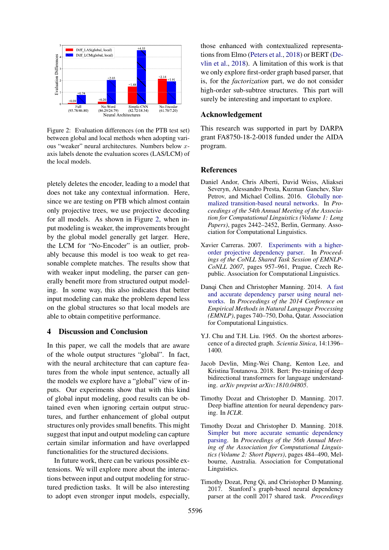<span id="page-4-7"></span>

Figure 2: Evaluation differences (on the PTB test set) between global and local methods when adopting various "weaker" neural architectures. Numbers below *x*axis labels denote the evaluation scores (LAS/LCM) of the local models.

pletely deletes the encoder, leading to a model that does not take any contextual information. Here, since we are testing on PTB which almost contain only projective trees, we use projective decoding for all models. As shown in Figure [2,](#page-4-7) when input modeling is weaker, the improvements brought by the global model generally get larger. Here, the LCM for "No-Encoder" is an outlier, probably because this model is too weak to get reasonable complete matches. The results show that with weaker input modeling, the parser can generally benefit more from structured output modeling. In some way, this also indicates that better input modeling can make the problem depend less on the global structures so that local models are able to obtain competitive performance.

# 4 Discussion and Conclusion

In this paper, we call the models that are aware of the whole output structures "global". In fact, with the neural architecture that can capture features from the whole input sentence, actually all the models we explore have a "global" view of inputs. Our experiments show that with this kind of global input modeling, good results can be obtained even when ignoring certain output structures, and further enhancement of global output structures only provides small benefits. This might suggest that input and output modeling can capture certain similar information and have overlapped functionalities for the structured decisions.

In future work, there can be various possible extensions. We will explore more about the interactions between input and output modeling for structured prediction tasks. It will be also interesting to adopt even stronger input models, especially, those enhanced with contextualized representations from Elmo [\(Peters et al.,](#page-6-9) [2018\)](#page-6-9) or BERT [\(De](#page-4-8)[vlin et al.,](#page-4-8) [2018\)](#page-4-8). A limitation of this work is that we only explore first-order graph based parser, that is, for the *factorization* part, we do not consider high-order sub-subtree structures. This part will surely be interesting and important to explore.

## Acknowledgement

This research was supported in part by DARPA grant FA8750-18-2-0018 funded under the AIDA program.

## **References**

- <span id="page-4-2"></span>Daniel Andor, Chris Alberti, David Weiss, Aliaksei Severyn, Alessandro Presta, Kuzman Ganchev, Slav Petrov, and Michael Collins. 2016. [Globally nor](http://www.aclweb.org/anthology/P16-1231)[malized transition-based neural networks.](http://www.aclweb.org/anthology/P16-1231) In *Proceedings of the 54th Annual Meeting of the Association for Computational Linguistics (Volume 1: Long Papers)*, pages 2442–2452, Berlin, Germany. Association for Computational Linguistics.
- <span id="page-4-4"></span>Xavier Carreras. 2007. [Experiments with a higher](http://www.aclweb.org/anthology/D/D07/D07-1101)[order projective dependency parser.](http://www.aclweb.org/anthology/D/D07/D07-1101) In *Proceedings of the CoNLL Shared Task Session of EMNLP-CoNLL 2007*, pages 957–961, Prague, Czech Republic. Association for Computational Linguistics.
- <span id="page-4-1"></span>Danqi Chen and Christopher Manning. 2014. [A fast](http://www.aclweb.org/anthology/D14-1082) [and accurate dependency parser using neural net](http://www.aclweb.org/anthology/D14-1082)[works.](http://www.aclweb.org/anthology/D14-1082) In *Proceedings of the 2014 Conference on Empirical Methods in Natural Language Processing (EMNLP)*, pages 740–750, Doha, Qatar. Association for Computational Linguistics.
- <span id="page-4-6"></span>Y.J. Chu and T.H. Liu. 1965. On the shortest arborescence of a directed graph. *Scientia Sinica*, 14:1396– 1400.
- <span id="page-4-8"></span>Jacob Devlin, Ming-Wei Chang, Kenton Lee, and Kristina Toutanova. 2018. Bert: Pre-training of deep bidirectional transformers for language understanding. *arXiv preprint arXiv:1810.04805*.
- <span id="page-4-0"></span>Timothy Dozat and Christopher D. Manning. 2017. Deep biaffine attention for neural dependency parsing. In *ICLR*.
- <span id="page-4-5"></span>Timothy Dozat and Christopher D. Manning. 2018. [Simpler but more accurate semantic dependency](http://www.aclweb.org/anthology/P18-2077) [parsing.](http://www.aclweb.org/anthology/P18-2077) In *Proceedings of the 56th Annual Meeting of the Association for Computational Linguistics (Volume 2: Short Papers)*, pages 484–490, Melbourne, Australia. Association for Computational Linguistics.
- <span id="page-4-3"></span>Timothy Dozat, Peng Qi, and Christopher D Manning. 2017. Stanford's graph-based neural dependency parser at the conll 2017 shared task. *Proceedings*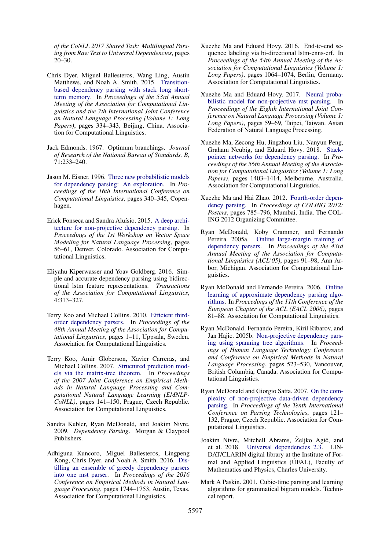*of the CoNLL 2017 Shared Task: Multilingual Parsing from Raw Text to Universal Dependencies*, pages 20–30.

- <span id="page-5-0"></span>Chris Dyer, Miguel Ballesteros, Wang Ling, Austin Matthews, and Noah A. Smith. 2015. [Transition](http://www.aclweb.org/anthology/P15-1033)[based dependency parsing with stack long short](http://www.aclweb.org/anthology/P15-1033)[term memory.](http://www.aclweb.org/anthology/P15-1033) In *Proceedings of the 53rd Annual Meeting of the Association for Computational Linguistics and the 7th International Joint Conference on Natural Language Processing (Volume 1: Long Papers)*, pages 334–343, Beijing, China. Association for Computational Linguistics.
- <span id="page-5-17"></span>Jack Edmonds. 1967. Optimum branchings. *Journal of Research of the National Bureau of Standards, B*, 71:233–240.
- <span id="page-5-8"></span>Jason M. Eisner. 1996. [Three new probabilistic models](http://www.aclweb.org/anthology/C96-1058) [for dependency parsing: An exploration.](http://www.aclweb.org/anthology/C96-1058) In *Proceedings of the 16th International Conference on Computational Linguistics*, pages 340–345, Copenhagen.
- <span id="page-5-13"></span>Erick Fonseca and Sandra Aluísio. 2015. [A deep archi](http://www.aclweb.org/anthology/W15-1508)[tecture for non-projective dependency parsing.](http://www.aclweb.org/anthology/W15-1508) In *Proceedings of the 1st Workshop on Vector Space Modeling for Natural Language Processing*, pages 56–61, Denver, Colorado. Association for Computational Linguistics.
- <span id="page-5-1"></span>Eliyahu Kiperwasser and Yoav Goldberg. 2016. Simple and accurate dependency parsing using bidirectional lstm feature representations. *Transactions of the Association for Computational Linguistics*, 4:313–327.
- <span id="page-5-10"></span>Terry Koo and Michael Collins. 2010. [Efficient third](http://www.aclweb.org/anthology/P10-1001)[order dependency parsers.](http://www.aclweb.org/anthology/P10-1001) In *Proceedings of the 48th Annual Meeting of the Association for Computational Linguistics*, pages 1–11, Uppsala, Sweden. Association for Computational Linguistics.
- <span id="page-5-15"></span>Terry Koo, Amir Globerson, Xavier Carreras, and Michael Collins. 2007. [Structured prediction mod](http://www.aclweb.org/anthology/D/D07/D07-1015)[els via the matrix-tree theorem.](http://www.aclweb.org/anthology/D/D07/D07-1015) In *Proceedings of the 2007 Joint Conference on Empirical Methods in Natural Language Processing and Computational Natural Language Learning (EMNLP-CoNLL)*, pages 141–150, Prague, Czech Republic. Association for Computational Linguistics.
- <span id="page-5-12"></span>Sandra Kubler, Ryan McDonald, and Joakim Nivre. 2009. *Dependency Parsing*. Morgan & Claypool Publishers.
- <span id="page-5-2"></span>Adhiguna Kuncoro, Miguel Ballesteros, Lingpeng Kong, Chris Dyer, and Noah A. Smith. 2016. [Dis](https://aclweb.org/anthology/D16-1180)[tilling an ensemble of greedy dependency parsers](https://aclweb.org/anthology/D16-1180) [into one mst parser.](https://aclweb.org/anthology/D16-1180) In *Proceedings of the 2016 Conference on Empirical Methods in Natural Language Processing*, pages 1744–1753, Austin, Texas. Association for Computational Linguistics.
- <span id="page-5-4"></span>Xuezhe Ma and Eduard Hovy. 2016. End-to-end sequence labeling via bi-directional lstm-cnns-crf. In *Proceedings of the 54th Annual Meeting of the Association for Computational Linguistics (Volume 1: Long Papers)*, pages 1064–1074, Berlin, Germany. Association for Computational Linguistics.
- <span id="page-5-7"></span>Xuezhe Ma and Eduard Hovy. 2017. [Neural proba](http://www.aclweb.org/anthology/I17-1007)[bilistic model for non-projective mst parsing.](http://www.aclweb.org/anthology/I17-1007) In *Proceedings of the Eighth International Joint Conference on Natural Language Processing (Volume 1: Long Papers)*, pages 59–69, Taipei, Taiwan. Asian Federation of Natural Language Processing.
- <span id="page-5-3"></span>Xuezhe Ma, Zecong Hu, Jingzhou Liu, Nanyun Peng, Graham Neubig, and Eduard Hovy. 2018. [Stack](http://www.aclweb.org/anthology/P18-1130)[pointer networks for dependency parsing.](http://www.aclweb.org/anthology/P18-1130) In *Proceedings of the 56th Annual Meeting of the Association for Computational Linguistics (Volume 1: Long Papers)*, pages 1403–1414, Melbourne, Australia. Association for Computational Linguistics.
- <span id="page-5-11"></span>Xuezhe Ma and Hai Zhao. 2012. [Fourth-order depen](http://www.aclweb.org/anthology/C12-2077)[dency parsing.](http://www.aclweb.org/anthology/C12-2077) In *Proceedings of COLING 2012: Posters*, pages 785–796, Mumbai, India. The COL-ING 2012 Organizing Committee.
- <span id="page-5-5"></span>Ryan McDonald, Koby Crammer, and Fernando Pereira. 2005a. [Online large-margin training of](https://doi.org/10.3115/1219840.1219852) [dependency parsers.](https://doi.org/10.3115/1219840.1219852) In *Proceedings of the 43rd Annual Meeting of the Association for Computational Linguistics (ACL'05)*, pages 91–98, Ann Arbor, Michigan. Association for Computational Linguistics.
- <span id="page-5-9"></span>Ryan McDonald and Fernando Pereira. 2006. [Online](http://www.aclweb.org/anthology/E06-1011) [learning of approximate dependency parsing algo](http://www.aclweb.org/anthology/E06-1011)[rithms.](http://www.aclweb.org/anthology/E06-1011) In *Proceedings of the 11th Conference of the European Chapter of the ACL (EACL 2006)*, pages 81–88. Association for Computational Linguistics.
- <span id="page-5-6"></span>Ryan McDonald, Fernando Pereira, Kiril Ribarov, and Jan Hajic. 2005b. [Non-projective dependency pars](http://www.aclweb.org/anthology/H05-1066)[ing using spanning tree algorithms.](http://www.aclweb.org/anthology/H05-1066) In *Proceedings of Human Language Technology Conference and Conference on Empirical Methods in Natural Language Processing*, pages 523–530, Vancouver, British Columbia, Canada. Association for Computational Linguistics.
- <span id="page-5-16"></span>Ryan McDonald and Giorgio Satta. 2007. [On the com](http://www.aclweb.org/anthology/W/W07/W07-2216)[plexity of non-projective data-driven dependency](http://www.aclweb.org/anthology/W/W07/W07-2216) [parsing.](http://www.aclweb.org/anthology/W/W07/W07-2216) In *Proceedings of the Tenth International Conference on Parsing Technologies*, pages 121– 132, Prague, Czech Republic. Association for Computational Linguistics.
- <span id="page-5-18"></span>Joakim Nivre, Mitchell Abrams, Željko Agić, and et al. 2018. [Universal dependencies 2.3.](http://hdl.handle.net/11234/1-2895) LIN-DAT/CLARIN digital library at the Institute of Formal and Applied Linguistics (UFAL), Faculty of Mathematics and Physics, Charles University.
- <span id="page-5-14"></span>Mark A Paskin. 2001. Cubic-time parsing and learning algorithms for grammatical bigram models. Technical report.